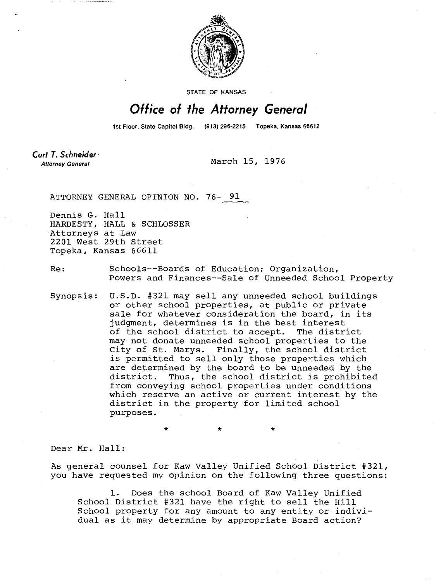

**STATE OF KANSAS** 

## Office of the Attorney General

1st Floor, State Capitol Bldg. (913) 296-2215 Topeka, Kansas 66612

Curt T. Schneider **Attorney General** 

March 15, 1976

ATTORNEY GENERAL OPINION NO. 76- 91

Dennis G. Hall HARDESTY, HALL & SCHLOSSER Attorneys at Law 2201 West 29th Street Topeka, Kansas 66611

Re: Schools--Boards of Education; Organization, Powers and Finances--Sale of Unneeded School Property

Synopsis: U.S.D. #321 may sell any unneeded school buildings or other school properties, at public or private sale for whatever consideration the board, in its judgment, determines is in the best interest of the school district to accept. The district may not donate unneeded school properties to the City of St. Marys. Finally, the school district is permitted to sell only those properties which are determined by the board to be unneeded by the district. Thus, the school district is prohibited from conveying school properties under conditions which reserve an active or current interest by the district in the property for limited school purposes.

Dear Mr. Hall:

As general counsel for Kaw Valley Unified School District #321, you have requested my opinion on the following three questions:

1. Does the school Board of Kaw Valley Unified School District #321 have the right to sell the Hill School property for any amount to any entity or individual as it may determine by appropriate Board action?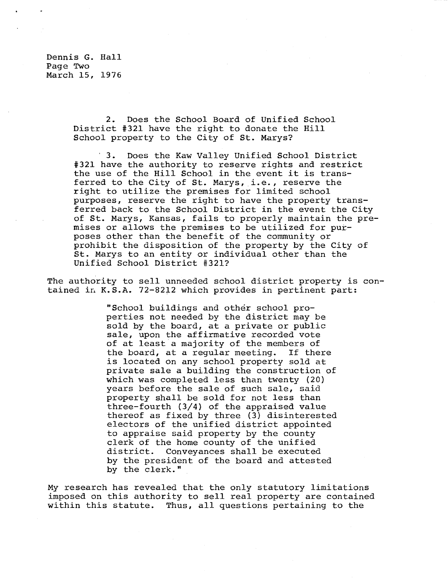Dennis G. Hall Page Two March 15, 1976

> 2. Does the School Board of Unified School District #321 have the right to donate the Hill School property to the City of St. Marys?

 3. Does the Kaw Valley Unified School District #321 have the authority to reserve rights and restrict the use of the Hill School in the event it is transferred to the City of St. Marys, i.e., reserve the right to utilize the premises for limited school purposes, reserve the right to have the property transferred back to the School District in the event the City of St. Marys, Kansas, fails to properly maintain the premises or allows the premises to be utilized for purposes other than the benefit of the community or prohibit the disposition of the property by the City of St. Marys to an entity or individual other than the Unified School District #321?

The authority to sell unneeded school district property is contained in K.S.A. 72-8212 which provides in pertinent part:

> "School buildings and other school properties not needed by the district may be sold by the board, at a private or public sale, upon the affirmative recorded vote of at least a majority of the members of the board, at a regular meeting. If there is located on any school property sold at private sale a building the construction of which was completed less than twenty (20) years before the sale of such sale, said property shall be sold for not less than three-fourth (3/4) of the appraised value thereof as fixed by three  $(3)$  disinterested electors of the unified district appointed to appraise said property by the county clerk of the home county of the unified district. Conveyances shall be executed by the president of the board and attested by the clerk."

My research has revealed that the only statutory limitations imposed on this authority to sell real property are contained within this statute. Thus, all questions pertaining to the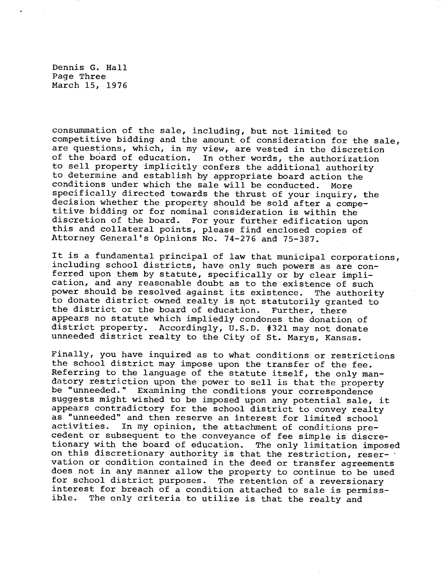Dennis G. Hall Page Three March 15, 1976

consummation of the sale, including, but not limited to competitive bidding and the amount of consideration for the sale, are questions, which, in my view, are vested in the discretion of the board of education. In other words, the authorization to sell property implicitly confers the additional authority to determine and establish by appropriate board action the conditions under which the sale will be conducted. More specifically directed towards the thrust of your inquiry, the decision whether the property should be sold after a competitive bidding or for nominal consideration is within the discretion of the board. For your further edification upon this and collateral points, please find enclosed copies of Attorney General's Opinions No. 74-276 and 75-387.

It is a fundamental principal of law that municipal corporations, including school districts, have only such powers as are conferred upon them by statute, specifically or by clear implication, and any reasonable doubt as to the existence of such power should be resolved against its existence. The authority to donate district owned realty is not statutorily granted to the district or the board of education. Further, there appears no statute which impliedly condones the donation of district property. Accordingly, U.S.D. #321 may not donate unneeded district realty to the City of St. Marys, Kansas.

Finally, you have inquired as to what conditions or restrictions the school district may impose upon the transfer of the fee. Referring to the language of the statute itself, the only mandatory restriction upon the power to sell is that the property be "unneeded." Examining the conditions your correspondence suggests might wished to be imposed upon any potential sale, it appears contradictory for the school district to convey realty as "unneeded" and then reserve an interest for limited school<br>activities. In my opinion, the attachment of conditions pre-In my opinion, the attachment of conditions precedent or subsequent to the conveyance of fee simple is discretionary with the board of education. The only limitation imposed on this discretionary authority is that the restriction, reser- • vation or condition contained in the deed or transfer agreements does not in any manner allow the property to continue to be used for school district purposes. The retention of a reversionary interest for breach of a condition attached to sale is permissible. The only criteria to utilize is that the realty and